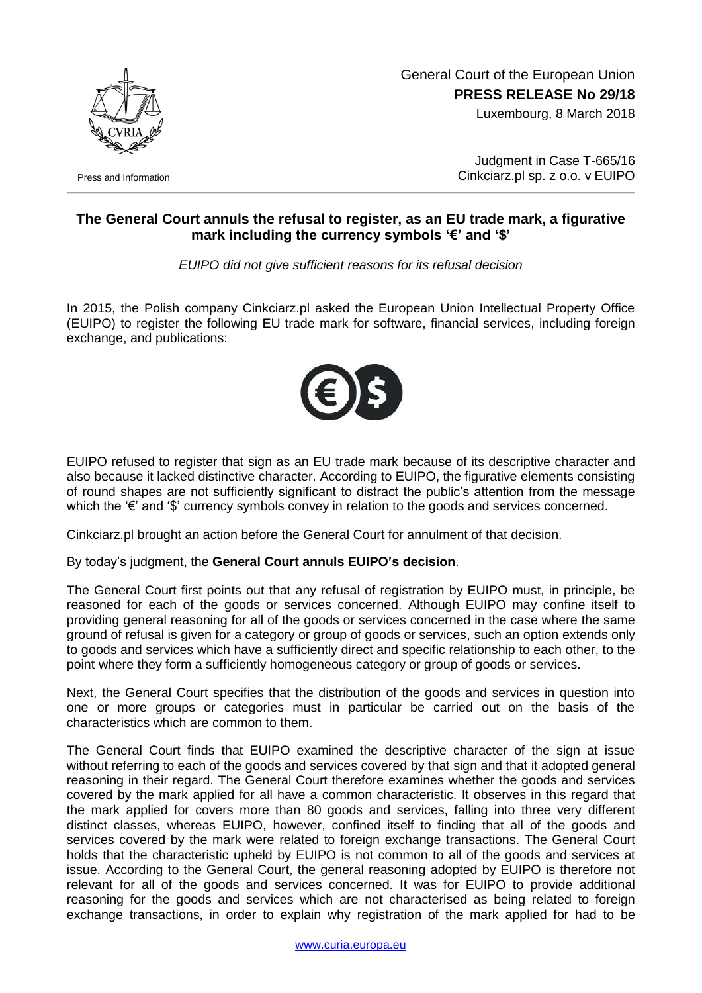

Press and Information

## General Court of the European Union **PRESS RELEASE No 29/18**

Luxembourg, 8 March 2018

Judgment in Case T-665/16 Cinkciarz.pl sp. z o.o. v EUIPO

## **The General Court annuls the refusal to register, as an EU trade mark, a figurative mark including the currency symbols '€' and '\$'**

*EUIPO did not give sufficient reasons for its refusal decision*

In 2015, the Polish company Cinkciarz.pl asked the European Union Intellectual Property Office (EUIPO) to register the following EU trade mark for software, financial services, including foreign exchange, and publications:



EUIPO refused to register that sign as an EU trade mark because of its descriptive character and also because it lacked distinctive character. According to EUIPO, the figurative elements consisting of round shapes are not sufficiently significant to distract the public's attention from the message which the '€' and '\$' currency symbols convey in relation to the goods and services concerned.

Cinkciarz.pl brought an action before the General Court for annulment of that decision.

By today's judgment, the **General Court annuls EUIPO's decision**.

The General Court first points out that any refusal of registration by EUIPO must, in principle, be reasoned for each of the goods or services concerned. Although EUIPO may confine itself to providing general reasoning for all of the goods or services concerned in the case where the same ground of refusal is given for a category or group of goods or services, such an option extends only to goods and services which have a sufficiently direct and specific relationship to each other, to the point where they form a sufficiently homogeneous category or group of goods or services.

Next, the General Court specifies that the distribution of the goods and services in question into one or more groups or categories must in particular be carried out on the basis of the characteristics which are common to them.

The General Court finds that EUIPO examined the descriptive character of the sign at issue without referring to each of the goods and services covered by that sign and that it adopted general reasoning in their regard. The General Court therefore examines whether the goods and services covered by the mark applied for all have a common characteristic. It observes in this regard that the mark applied for covers more than 80 goods and services, falling into three very different distinct classes, whereas EUIPO, however, confined itself to finding that all of the goods and services covered by the mark were related to foreign exchange transactions. The General Court holds that the characteristic upheld by EUIPO is not common to all of the goods and services at issue. According to the General Court, the general reasoning adopted by EUIPO is therefore not relevant for all of the goods and services concerned. It was for EUIPO to provide additional reasoning for the goods and services which are not characterised as being related to foreign exchange transactions, in order to explain why registration of the mark applied for had to be